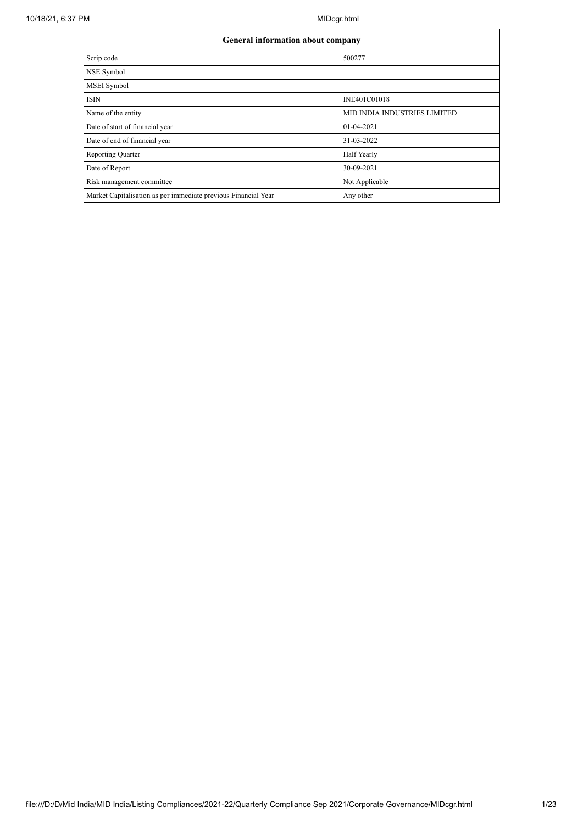| <b>General information about company</b>                       |                              |  |  |  |  |  |  |  |
|----------------------------------------------------------------|------------------------------|--|--|--|--|--|--|--|
| Scrip code                                                     | 500277                       |  |  |  |  |  |  |  |
| NSE Symbol                                                     |                              |  |  |  |  |  |  |  |
| MSEI Symbol                                                    |                              |  |  |  |  |  |  |  |
| <b>ISIN</b>                                                    | INE401C01018                 |  |  |  |  |  |  |  |
| Name of the entity                                             | MID INDIA INDUSTRIES LIMITED |  |  |  |  |  |  |  |
| Date of start of financial year                                | 01-04-2021                   |  |  |  |  |  |  |  |
| Date of end of financial year                                  | 31-03-2022                   |  |  |  |  |  |  |  |
| Reporting Quarter                                              | <b>Half Yearly</b>           |  |  |  |  |  |  |  |
| Date of Report                                                 | 30-09-2021                   |  |  |  |  |  |  |  |
| Risk management committee                                      | Not Applicable               |  |  |  |  |  |  |  |
| Market Capitalisation as per immediate previous Financial Year | Any other                    |  |  |  |  |  |  |  |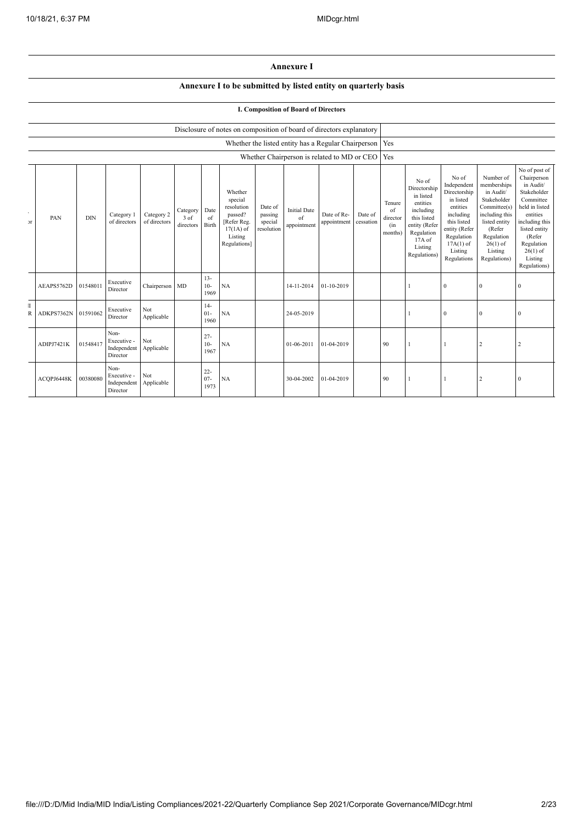## **Annexure I**

## **Annexure I to be submitted by listed entity on quarterly basis**

## **I. Composition of Board of Directors**

|                             |            | Disclosure of notes on composition of board of directors explanatory |                                                |                            |                                     |                          |                                                                                                      |                                             |                                          |                                                     |                      |                                            |                                                                                                                                                |                                                                                                                                                                   |                                                                                                                                                                          |                                                                                                                                                                                                         |
|-----------------------------|------------|----------------------------------------------------------------------|------------------------------------------------|----------------------------|-------------------------------------|--------------------------|------------------------------------------------------------------------------------------------------|---------------------------------------------|------------------------------------------|-----------------------------------------------------|----------------------|--------------------------------------------|------------------------------------------------------------------------------------------------------------------------------------------------|-------------------------------------------------------------------------------------------------------------------------------------------------------------------|--------------------------------------------------------------------------------------------------------------------------------------------------------------------------|---------------------------------------------------------------------------------------------------------------------------------------------------------------------------------------------------------|
|                             |            |                                                                      |                                                |                            |                                     |                          |                                                                                                      |                                             |                                          | Whether the listed entity has a Regular Chairperson |                      | Yes                                        |                                                                                                                                                |                                                                                                                                                                   |                                                                                                                                                                          |                                                                                                                                                                                                         |
|                             |            | Whether Chairperson is related to MD or CEO                          |                                                |                            |                                     |                          |                                                                                                      |                                             | Yes                                      |                                                     |                      |                                            |                                                                                                                                                |                                                                                                                                                                   |                                                                                                                                                                          |                                                                                                                                                                                                         |
| $\epsilon$<br>$\mathcal{F}$ | PAN        | <b>DIN</b>                                                           | Category 1<br>of directors                     | Category 2<br>of directors | Category<br>3 of<br>directors Birth | Date<br>of               | Whether<br>special<br>resolution<br>passed?<br>[Refer Reg.<br>$17(1A)$ of<br>Listing<br>Regulations] | Date of<br>passing<br>special<br>resolution | <b>Initial Date</b><br>of<br>appointment | Date of Re-<br>appointment                          | Date of<br>cessation | Tenure<br>of<br>director<br>(in<br>months) | No of<br>Directorship<br>in listed<br>entities<br>including<br>this listed<br>entity (Refer<br>Regulation<br>17A of<br>Listing<br>Regulations) | No of<br>Independent<br>Directorship<br>in listed<br>entities<br>including<br>this listed<br>entity (Refer<br>Regulation<br>$17A(1)$ of<br>Listing<br>Regulations | Number of<br>memberships<br>in Audit/<br>Stakeholder<br>Committee(s)<br>including this<br>listed entity<br>(Refer<br>Regulation<br>$26(1)$ of<br>Listing<br>Regulations) | No of post of<br>Chairperson<br>in Audit/<br>Stakeholder<br>Committee<br>held in listed<br>entities<br>including this<br>listed entity<br>(Refer<br>Regulation<br>$26(1)$ of<br>Listing<br>Regulations) |
|                             | AEAPS5762D | 01548011                                                             | Executive<br>Director                          | Chairperson MD             |                                     | $13 -$<br>$10-$<br>1969  | NA                                                                                                   |                                             | 14-11-2014                               | 01-10-2019                                          |                      |                                            |                                                                                                                                                | $\theta$                                                                                                                                                          | $\Omega$                                                                                                                                                                 | 0                                                                                                                                                                                                       |
| T<br>$\overline{R}$         | ADKPS7362N | 01591062                                                             | Executive<br>Director                          | Not<br>Applicable          |                                     | $14-$<br>$01 -$<br>1960  | NA                                                                                                   |                                             | 24-05-2019                               |                                                     |                      |                                            |                                                                                                                                                | $\mathbf{0}$                                                                                                                                                      | $\mathbf{0}$                                                                                                                                                             | $\mathbf{0}$                                                                                                                                                                                            |
|                             | ADIPJ7421K | 01548417                                                             | Non-<br>Executive -<br>Independent<br>Director | Not<br>Applicable          |                                     | $27 -$<br>$10-$<br>1967  | NA                                                                                                   |                                             | 01-06-2011                               | 01-04-2019                                          |                      | 90                                         |                                                                                                                                                |                                                                                                                                                                   | $\overline{2}$                                                                                                                                                           | $\overline{2}$                                                                                                                                                                                          |
|                             | ACQPJ6448K | 00380080                                                             | Non-<br>Executive -<br>Independent<br>Director | Not<br>Applicable          |                                     | $22 -$<br>$07 -$<br>1973 | NA                                                                                                   |                                             | 30-04-2002                               | 01-04-2019                                          |                      | 90                                         |                                                                                                                                                |                                                                                                                                                                   | $\overline{2}$                                                                                                                                                           | $\mathbf{0}$                                                                                                                                                                                            |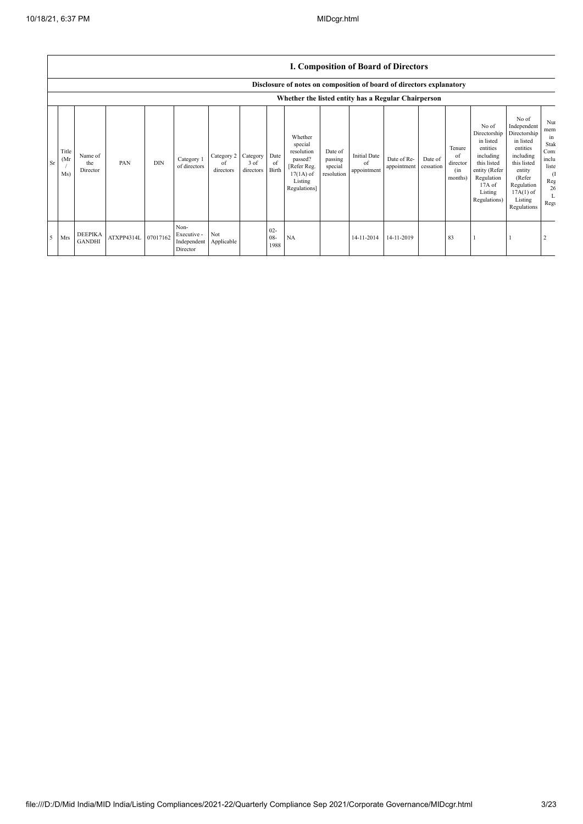|             |                      |                                 |                     |            |                                                |                               |                               |                       |                                                                                                      |                                             | <b>I. Composition of Board of Directors</b> |                            |                      |                                            |                                                                                                                                                |                                                                                                                                                                      |                                                                                         |
|-------------|----------------------|---------------------------------|---------------------|------------|------------------------------------------------|-------------------------------|-------------------------------|-----------------------|------------------------------------------------------------------------------------------------------|---------------------------------------------|---------------------------------------------|----------------------------|----------------------|--------------------------------------------|------------------------------------------------------------------------------------------------------------------------------------------------|----------------------------------------------------------------------------------------------------------------------------------------------------------------------|-----------------------------------------------------------------------------------------|
|             |                      |                                 |                     |            |                                                |                               |                               |                       | Disclosure of notes on composition of board of directors explanatory                                 |                                             |                                             |                            |                      |                                            |                                                                                                                                                |                                                                                                                                                                      |                                                                                         |
|             |                      |                                 |                     |            |                                                |                               |                               |                       | Whether the listed entity has a Regular Chairperson                                                  |                                             |                                             |                            |                      |                                            |                                                                                                                                                |                                                                                                                                                                      |                                                                                         |
| $S_{\rm r}$ | Title<br>(Mr)<br>Ms) | Name of<br>the<br>Director      | PAN                 | <b>DIN</b> | Category 1<br>of directors                     | Category 2<br>of<br>directors | Category<br>3 of<br>directors | Date<br>of<br>Birth   | Whether<br>special<br>resolution<br>passed?<br>[Refer Reg.<br>$17(1A)$ of<br>Listing<br>Regulations] | Date of<br>passing<br>special<br>resolution | <b>Initial Date</b><br>of<br>appointment    | Date of Re-<br>appointment | Date of<br>cessation | Tenure<br>of<br>director<br>(in<br>months) | No of<br>Directorship<br>in listed<br>entities<br>including<br>this listed<br>entity (Refer<br>Regulation<br>17A of<br>Listing<br>Regulations) | No of<br>Independent<br>Directorship<br>in listed<br>entities<br>including<br>this listed<br>entity<br>(Refer<br>Regulation<br>$17A(1)$ of<br>Listing<br>Regulations | Nui<br>mem<br>in<br>Stak<br>Com<br>inclu<br>liste<br><sup>(1</sup><br>Reg<br>26<br>Regu |
|             | 5 Mrs                | <b>DEEPIKA</b><br><b>GANDHI</b> | ATXPP4314L 07017162 |            | Non-<br>Executive -<br>Independent<br>Director | Not<br>Applicable             |                               | $02 -$<br>08-<br>1988 | NA                                                                                                   |                                             | 14-11-2014                                  | 14-11-2019                 |                      | 83                                         |                                                                                                                                                |                                                                                                                                                                      |                                                                                         |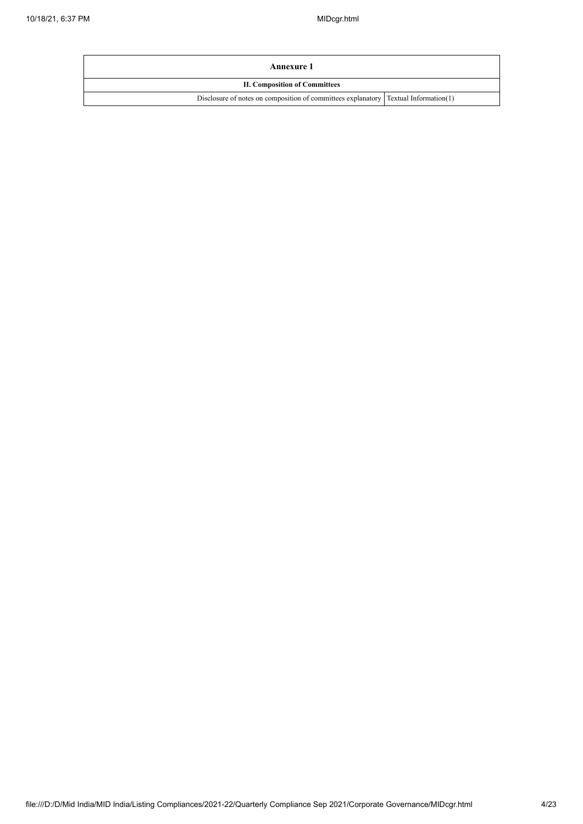| Annexure 1                                                                            |  |
|---------------------------------------------------------------------------------------|--|
| <b>II. Composition of Committees</b>                                                  |  |
| Disclosure of notes on composition of committees explanatory   Textual Information(1) |  |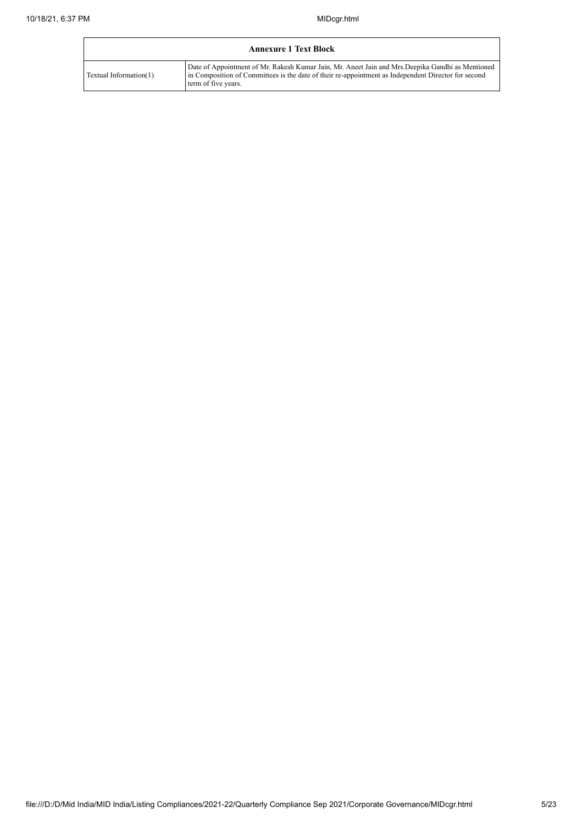| <b>Annexure 1 Text Block</b> |                                                                                                                                                                                                                                 |  |  |  |  |  |  |  |
|------------------------------|---------------------------------------------------------------------------------------------------------------------------------------------------------------------------------------------------------------------------------|--|--|--|--|--|--|--|
| Textual Information(1)       | Date of Appointment of Mr. Rakesh Kumar Jain, Mr. Aneet Jain and Mrs. Deepika Gandhi as Mentioned<br>in Composition of Committees is the date of their re-appointment as Independent Director for second<br>term of five years. |  |  |  |  |  |  |  |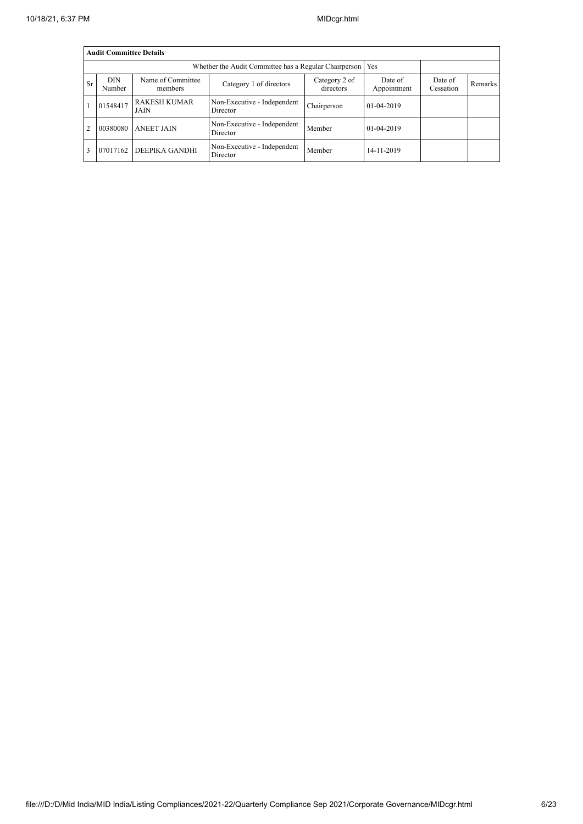|                | <b>Audit Committee Details</b> |                             |                                                       |             |            |  |  |  |  |  |
|----------------|--------------------------------|-----------------------------|-------------------------------------------------------|-------------|------------|--|--|--|--|--|
|                |                                |                             | Whether the Audit Committee has a Regular Chairperson |             | Yes        |  |  |  |  |  |
| <b>Sr</b>      | <b>DIN</b><br>Number           | Date of<br>Appointment      | Date of<br>Cessation                                  | Remarks     |            |  |  |  |  |  |
|                | 01548417                       | <b>RAKESH KUMAR</b><br>JAIN | Non-Executive - Independent<br>Director               | Chairperson | 01-04-2019 |  |  |  |  |  |
| $\overline{2}$ | 00380080                       | <b>ANEET JAIN</b>           | Non-Executive - Independent<br>Director               | Member      | 01-04-2019 |  |  |  |  |  |
| 3              | 07017162                       | DEEPIKA GANDHI              | Non-Executive - Independent<br>Director               | Member      | 14-11-2019 |  |  |  |  |  |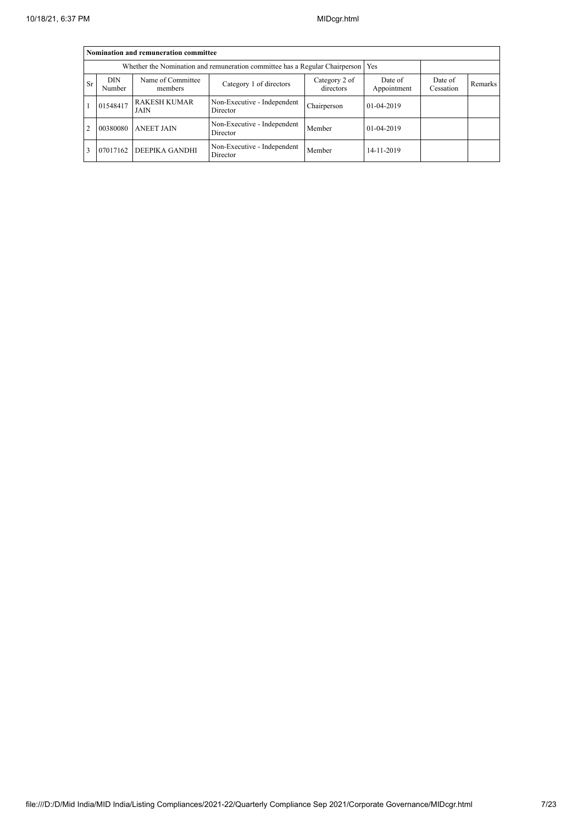|                | Nomination and remuneration committee                                             |                             |                                         |             |            |  |  |  |  |  |  |
|----------------|-----------------------------------------------------------------------------------|-----------------------------|-----------------------------------------|-------------|------------|--|--|--|--|--|--|
|                | Whether the Nomination and remuneration committee has a Regular Chairperson   Yes |                             |                                         |             |            |  |  |  |  |  |  |
| <b>Sr</b>      | <b>DIN</b><br>Number                                                              | Date of<br>Cessation        | <b>Remarks</b>                          |             |            |  |  |  |  |  |  |
|                | 01548417                                                                          | <b>RAKESH KUMAR</b><br>JAIN | Non-Executive - Independent<br>Director | Chairperson | 01-04-2019 |  |  |  |  |  |  |
| $\overline{2}$ | 00380080                                                                          | <b>ANEET JAIN</b>           | Non-Executive - Independent<br>Director | Member      | 01-04-2019 |  |  |  |  |  |  |
|                | 07017162                                                                          | DEEPIKA GANDHI              | 14-11-2019                              |             |            |  |  |  |  |  |  |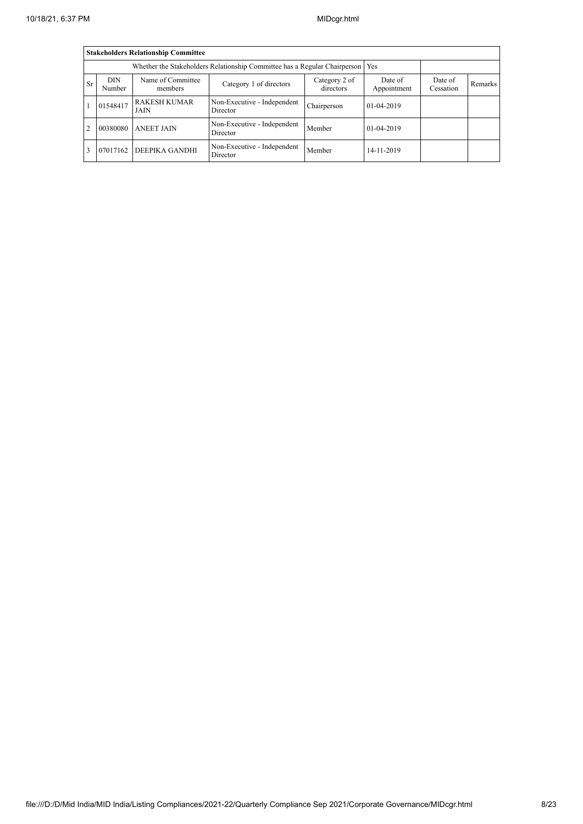|                | <b>Stakeholders Relationship Committee</b>                                      |                             |                                         |             |            |  |  |  |  |  |
|----------------|---------------------------------------------------------------------------------|-----------------------------|-----------------------------------------|-------------|------------|--|--|--|--|--|
|                | Whether the Stakeholders Relationship Committee has a Regular Chairperson   Yes |                             |                                         |             |            |  |  |  |  |  |
| <b>Sr</b>      | <b>DIN</b><br>Number                                                            | Date of<br>Cessation        | <b>Remarks</b>                          |             |            |  |  |  |  |  |
|                | 01548417                                                                        | <b>RAKESH KUMAR</b><br>JAIN | Non-Executive - Independent<br>Director | Chairperson | 01-04-2019 |  |  |  |  |  |
| $\overline{2}$ | 00380080                                                                        | <b>ANEET JAIN</b>           | Non-Executive - Independent<br>Director | Member      | 01-04-2019 |  |  |  |  |  |
|                | 07017162                                                                        | DEEPIKA GANDHI              | Non-Executive - Independent<br>Director | Member      | 14-11-2019 |  |  |  |  |  |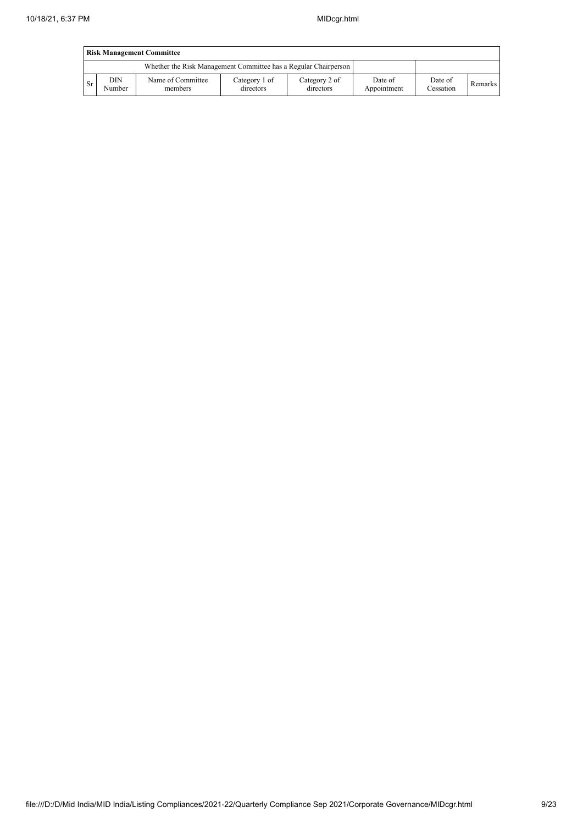|           | <b>Risk Management Committee</b> |                                                                 |                            |                            |                        |                      |         |  |  |  |
|-----------|----------------------------------|-----------------------------------------------------------------|----------------------------|----------------------------|------------------------|----------------------|---------|--|--|--|
|           |                                  | Whether the Risk Management Committee has a Regular Chairperson |                            |                            |                        |                      |         |  |  |  |
| <b>Sr</b> | DIN<br>Number                    | Name of Committee<br>members                                    | Category 1 of<br>directors | Category 2 of<br>directors | Date of<br>Appointment | Date of<br>Cessation | Remarks |  |  |  |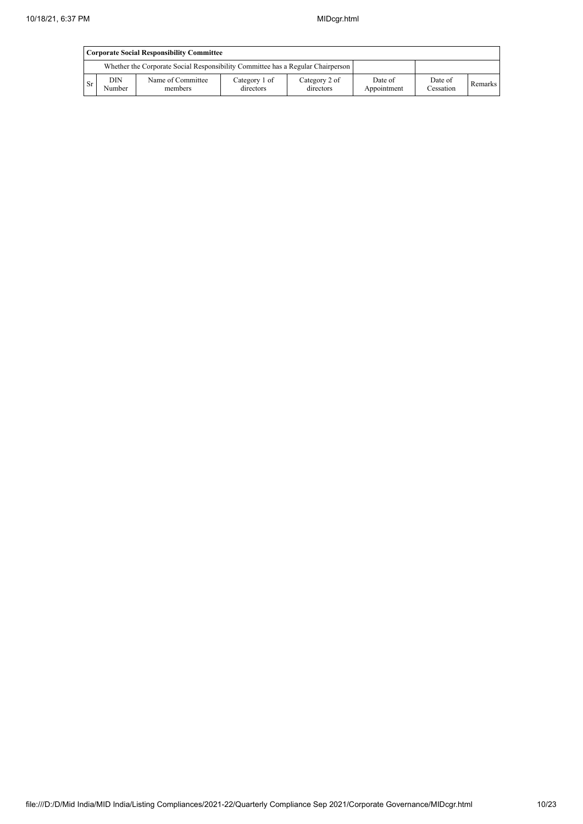|           | <b>Corporate Social Responsibility Committee</b>                                                                                                                              |                                                                                 |  |  |  |  |  |  |  |  |
|-----------|-------------------------------------------------------------------------------------------------------------------------------------------------------------------------------|---------------------------------------------------------------------------------|--|--|--|--|--|--|--|--|
|           |                                                                                                                                                                               | Whether the Corporate Social Responsibility Committee has a Regular Chairperson |  |  |  |  |  |  |  |  |
| <b>Sr</b> | <b>DIN</b><br>Name of Committee<br>Category 1 of<br>Category 2 of<br>Date of<br>Date of<br>Remarks<br>Cessation<br>directors<br>directors<br>Number<br>members<br>Appointment |                                                                                 |  |  |  |  |  |  |  |  |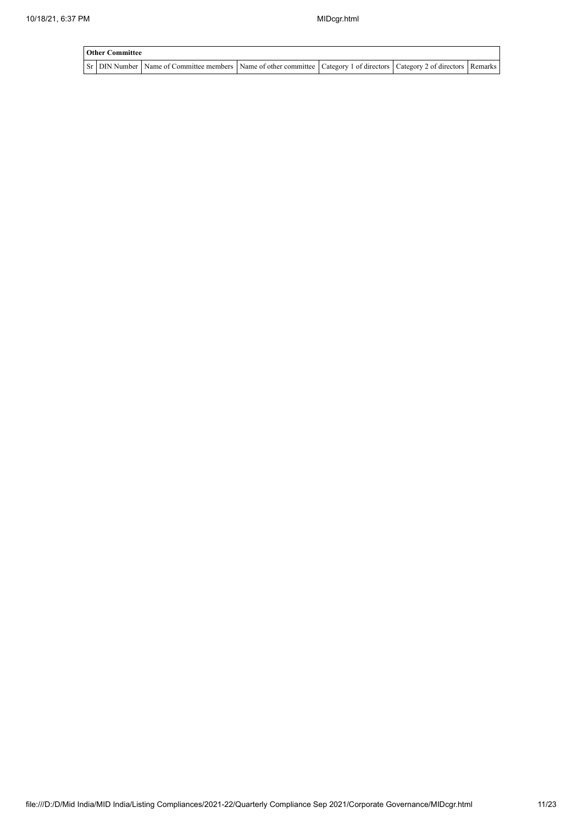| <b>Other Committee</b> |                                                                                                                                     |  |  |  |  |  |  |  |  |
|------------------------|-------------------------------------------------------------------------------------------------------------------------------------|--|--|--|--|--|--|--|--|
|                        | Sr   DIN Number   Name of Committee members   Name of other committee   Category 1 of directors   Category 2 of directors   Remarks |  |  |  |  |  |  |  |  |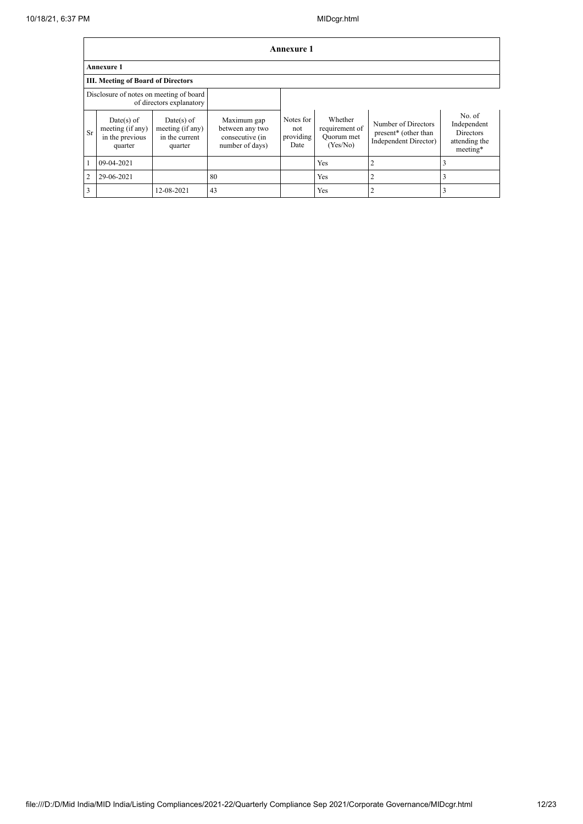|                | Annexure 1                                                     |                                                               |                                                                      |                                       |                                                     |                                                                      |                                                                        |  |  |  |  |
|----------------|----------------------------------------------------------------|---------------------------------------------------------------|----------------------------------------------------------------------|---------------------------------------|-----------------------------------------------------|----------------------------------------------------------------------|------------------------------------------------------------------------|--|--|--|--|
|                | <b>Annexure 1</b>                                              |                                                               |                                                                      |                                       |                                                     |                                                                      |                                                                        |  |  |  |  |
|                | III. Meeting of Board of Directors                             |                                                               |                                                                      |                                       |                                                     |                                                                      |                                                                        |  |  |  |  |
|                | Disclosure of notes on meeting of board                        | of directors explanatory                                      |                                                                      |                                       |                                                     |                                                                      |                                                                        |  |  |  |  |
| <b>Sr</b>      | $Date(s)$ of<br>meeting (if any)<br>in the previous<br>quarter | $Date(s)$ of<br>meeting (if any)<br>in the current<br>quarter | Maximum gap<br>between any two<br>consecutive (in<br>number of days) | Notes for<br>not<br>providing<br>Date | Whether<br>requirement of<br>Quorum met<br>(Yes/No) | Number of Directors<br>present* (other than<br>Independent Director) | No. of<br>Independent<br><b>Directors</b><br>attending the<br>meeting* |  |  |  |  |
|                | $09-04-2021$                                                   |                                                               |                                                                      |                                       | Yes                                                 | $\overline{c}$                                                       | 3                                                                      |  |  |  |  |
| $\overline{2}$ | 29-06-2021                                                     |                                                               | 80                                                                   |                                       | Yes                                                 | $\overline{2}$                                                       | 3                                                                      |  |  |  |  |
| 3              |                                                                | 12-08-2021                                                    | 43                                                                   |                                       | Yes                                                 | 2                                                                    | 3                                                                      |  |  |  |  |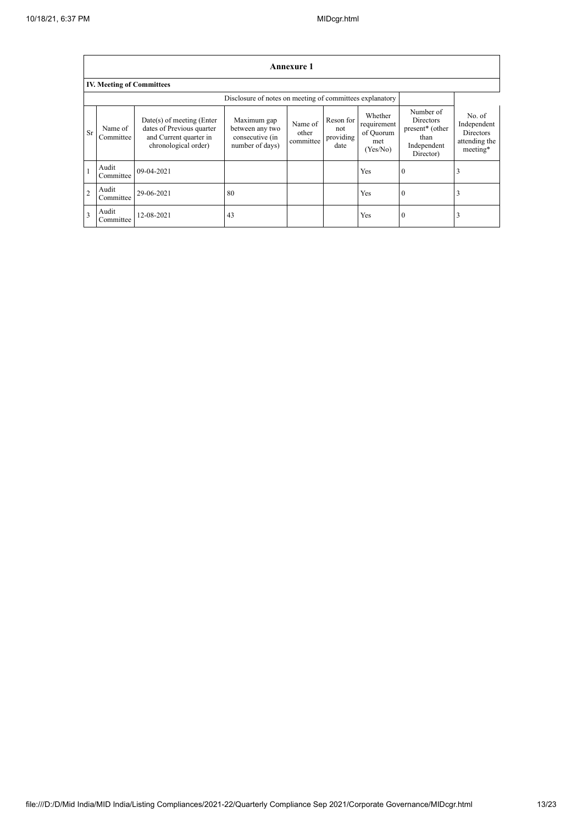$\mathbf{r}$ 

|                         | Annexure 1                       |                                                                                                          |                                                                      |                               |                                       |                                                        |                                                                                                  |                                                                        |
|-------------------------|----------------------------------|----------------------------------------------------------------------------------------------------------|----------------------------------------------------------------------|-------------------------------|---------------------------------------|--------------------------------------------------------|--------------------------------------------------------------------------------------------------|------------------------------------------------------------------------|
|                         | <b>IV. Meeting of Committees</b> |                                                                                                          |                                                                      |                               |                                       |                                                        |                                                                                                  |                                                                        |
|                         |                                  |                                                                                                          | Disclosure of notes on meeting of committees explanatory             |                               |                                       |                                                        |                                                                                                  |                                                                        |
| Sr                      | Name of<br>Committee             | Date(s) of meeting (Enter<br>dates of Previous quarter<br>and Current quarter in<br>chronological order) | Maximum gap<br>between any two<br>consecutive (in<br>number of days) | Name of<br>other<br>committee | Reson for<br>not<br>providing<br>date | Whether<br>requirement<br>of Quorum<br>met<br>(Yes/No) | Number of<br><b>Directors</b><br>present <sup>*</sup> (other<br>than<br>Independent<br>Director) | No. of<br>Independent<br><b>Directors</b><br>attending the<br>meeting* |
|                         | Audit<br>Committee               | 09-04-2021                                                                                               |                                                                      |                               |                                       | Yes                                                    | $\theta$                                                                                         | J.                                                                     |
| $\overline{2}$          | Audit<br>Committee               | 29-06-2021                                                                                               | -80                                                                  |                               |                                       | Yes                                                    | $\bf{0}$                                                                                         | 3                                                                      |
| $\overline{\mathbf{3}}$ | Audit<br>Committee               | 12-08-2021                                                                                               | 43                                                                   |                               |                                       | Yes                                                    | $\Omega$                                                                                         | 3                                                                      |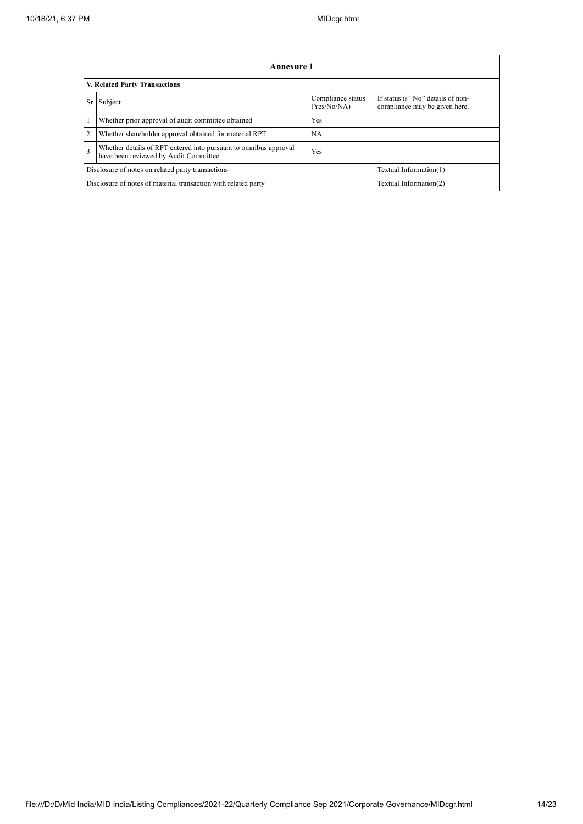|                         | <b>Annexure 1</b>                                                                                         |                                  |                                                                    |  |  |
|-------------------------|-----------------------------------------------------------------------------------------------------------|----------------------------------|--------------------------------------------------------------------|--|--|
|                         | <b>V. Related Party Transactions</b>                                                                      |                                  |                                                                    |  |  |
| Sr                      | Subject                                                                                                   | Compliance status<br>(Yes/No/NA) | If status is "No" details of non-<br>compliance may be given here. |  |  |
|                         | Whether prior approval of audit committee obtained                                                        | Yes                              |                                                                    |  |  |
| $\overline{c}$          | Whether shareholder approval obtained for material RPT                                                    | <b>NA</b>                        |                                                                    |  |  |
| $\overline{\mathbf{3}}$ | Whether details of RPT entered into pursuant to omnibus approval<br>have been reviewed by Audit Committee | Yes                              |                                                                    |  |  |
|                         | Disclosure of notes on related party transactions<br>Textual Information(1)                               |                                  |                                                                    |  |  |
|                         | Textual Information(2)<br>Disclosure of notes of material transaction with related party                  |                                  |                                                                    |  |  |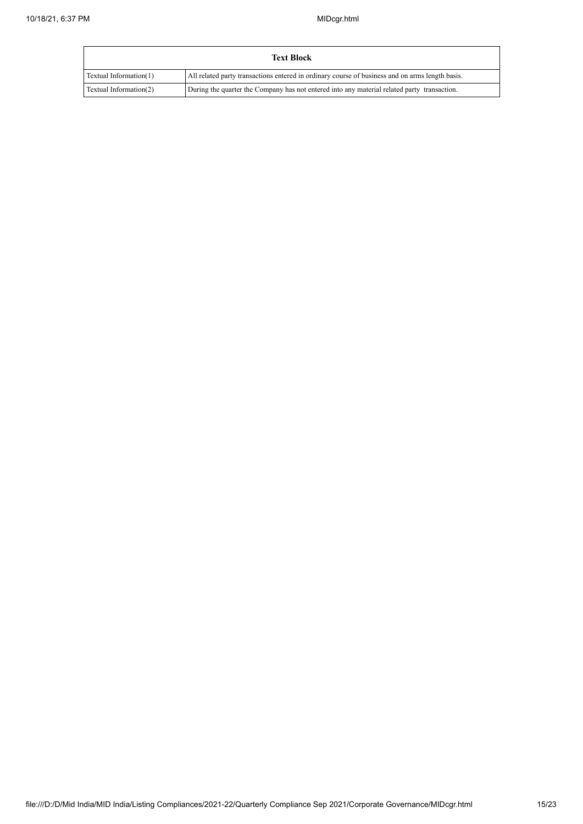| <b>Text Block</b>      |                                                                                                 |  |
|------------------------|-------------------------------------------------------------------------------------------------|--|
| Textual Information(1) | All related party transactions entered in ordinary course of business and on arms length basis. |  |
| Textual Information(2) | During the quarter the Company has not entered into any material related party transaction.     |  |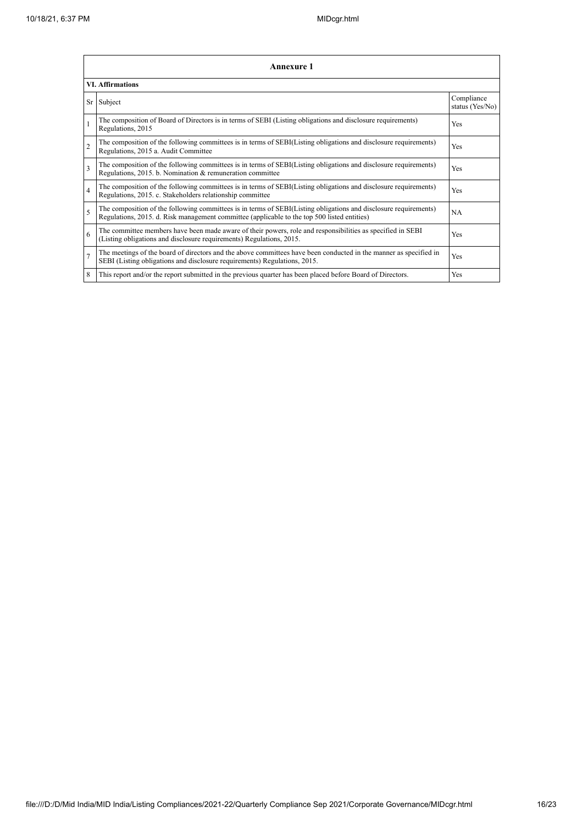|                         | <b>Annexure 1</b>                                                                                                                                                                                               |                               |  |  |  |
|-------------------------|-----------------------------------------------------------------------------------------------------------------------------------------------------------------------------------------------------------------|-------------------------------|--|--|--|
|                         | <b>VI. Affirmations</b>                                                                                                                                                                                         |                               |  |  |  |
|                         | Sr Subject                                                                                                                                                                                                      | Compliance<br>status (Yes/No) |  |  |  |
|                         | The composition of Board of Directors is in terms of SEBI (Listing obligations and disclosure requirements)<br>Regulations, 2015                                                                                | Yes                           |  |  |  |
| $\overline{2}$          | The composition of the following committees is in terms of SEBI(Listing obligations and disclosure requirements)<br>Regulations, 2015 a. Audit Committee                                                        | <b>Yes</b>                    |  |  |  |
| $\overline{\mathbf{3}}$ | The composition of the following committees is in terms of SEBI(Listing obligations and disclosure requirements)<br>Regulations, 2015. b. Nomination & remuneration committee                                   | Yes                           |  |  |  |
| $\overline{4}$          | The composition of the following committees is in terms of SEBI(Listing obligations and disclosure requirements)<br>Regulations, 2015. c. Stakeholders relationship committee                                   | Yes                           |  |  |  |
| 5                       | The composition of the following committees is in terms of SEBI(Listing obligations and disclosure requirements)<br>Regulations, 2015. d. Risk management committee (applicable to the top 500 listed entities) | <b>NA</b>                     |  |  |  |
| 6                       | The committee members have been made aware of their powers, role and responsibilities as specified in SEBI<br>(Listing obligations and disclosure requirements) Regulations, 2015.                              | Yes                           |  |  |  |
| $\overline{7}$          | The meetings of the board of directors and the above committees have been conducted in the manner as specified in<br>SEBI (Listing obligations and disclosure requirements) Regulations, 2015.                  | Yes                           |  |  |  |
| 8                       | This report and/or the report submitted in the previous quarter has been placed before Board of Directors.                                                                                                      | <b>Yes</b>                    |  |  |  |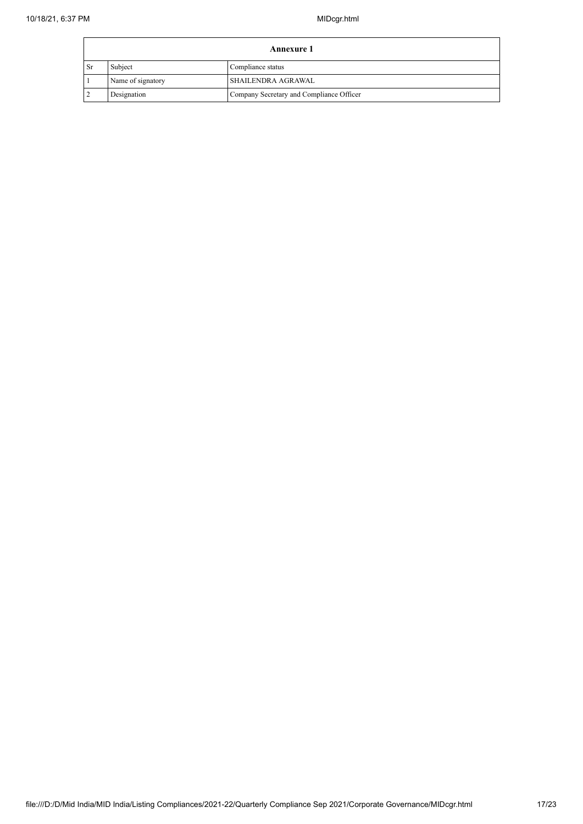|                                           | Annexure 1                   |                                          |  |  |
|-------------------------------------------|------------------------------|------------------------------------------|--|--|
| l Sr                                      | Subject<br>Compliance status |                                          |  |  |
| Name of signatory<br>l SHAILENDRA AGRAWAL |                              |                                          |  |  |
|                                           | Designation                  | Company Secretary and Compliance Officer |  |  |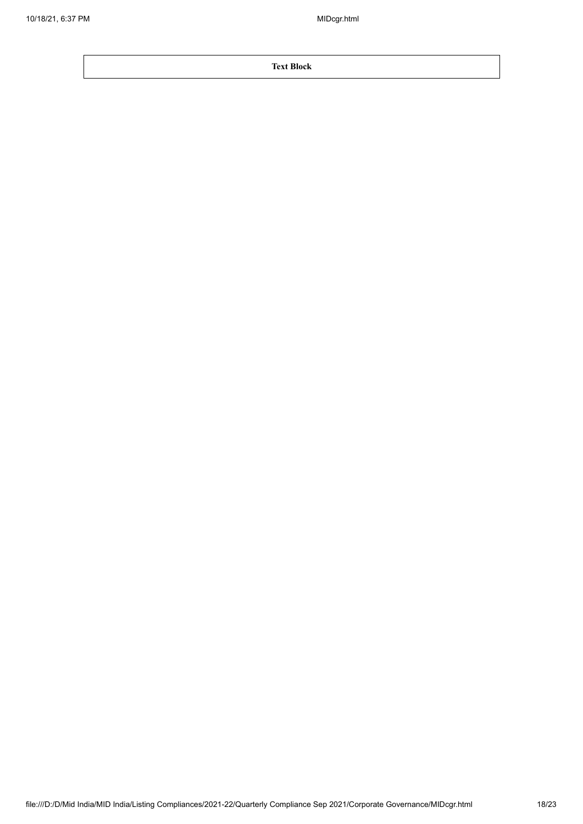**Text Block**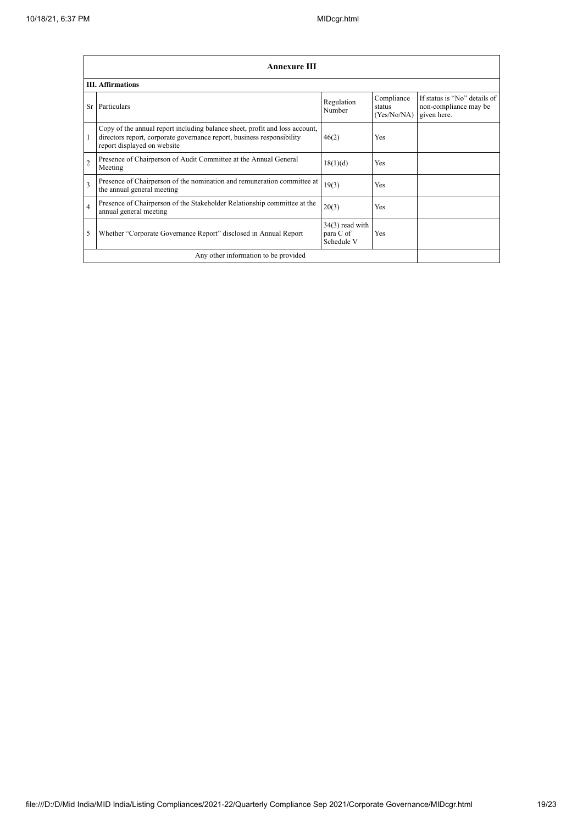|                | <b>Annexure III</b>                                                                                                                                                                  |                                              |                                     |                                                                      |
|----------------|--------------------------------------------------------------------------------------------------------------------------------------------------------------------------------------|----------------------------------------------|-------------------------------------|----------------------------------------------------------------------|
|                | <b>III.</b> Affirmations                                                                                                                                                             |                                              |                                     |                                                                      |
| Sr             | Particulars                                                                                                                                                                          | Regulation<br>Number                         | Compliance<br>status<br>(Yes/No/NA) | If status is "No" details of<br>non-compliance may be<br>given here. |
|                | Copy of the annual report including balance sheet, profit and loss account,<br>directors report, corporate governance report, business responsibility<br>report displayed on website | 46(2)                                        | Yes                                 |                                                                      |
| $\overline{2}$ | Presence of Chairperson of Audit Committee at the Annual General<br>Meeting                                                                                                          | 18(1)(d)                                     | Yes                                 |                                                                      |
| 3              | Presence of Chairperson of the nomination and remuneration committee at<br>the annual general meeting                                                                                | 19(3)                                        | Yes                                 |                                                                      |
| $\overline{4}$ | Presence of Chairperson of the Stakeholder Relationship committee at the<br>annual general meeting                                                                                   | 20(3)                                        | Yes                                 |                                                                      |
| 5              | Whether "Corporate Governance Report" disclosed in Annual Report                                                                                                                     | $34(3)$ read with<br>para C of<br>Schedule V | Yes                                 |                                                                      |
|                | Any other information to be provided                                                                                                                                                 |                                              |                                     |                                                                      |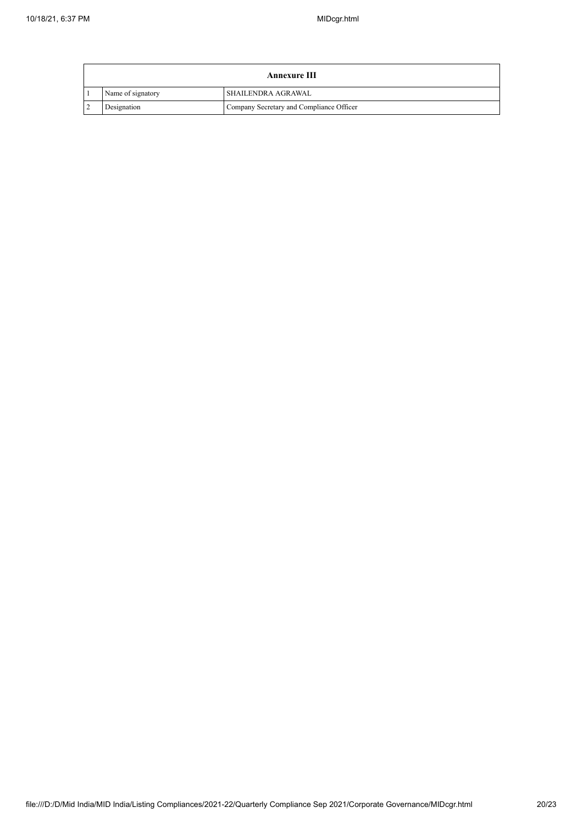| <b>Annexure III</b> |                                          |  |  |  |
|---------------------|------------------------------------------|--|--|--|
| Name of signatory   | <b>SHAILENDRA AGRAWAL</b>                |  |  |  |
| Designation         | Company Secretary and Compliance Officer |  |  |  |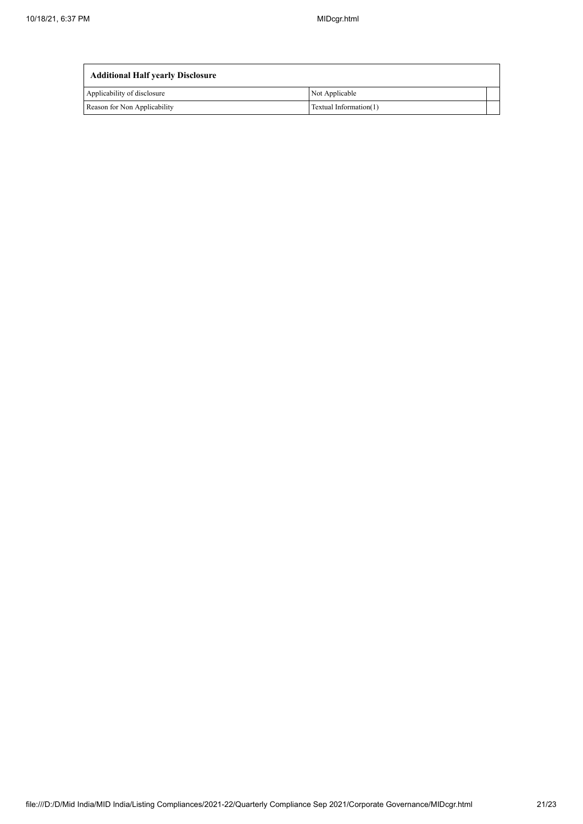| <b>Additional Half yearly Disclosure</b> |                        |  |  |
|------------------------------------------|------------------------|--|--|
| Applicability of disclosure              | Not Applicable         |  |  |
| Reason for Non Applicability             | Textual Information(1) |  |  |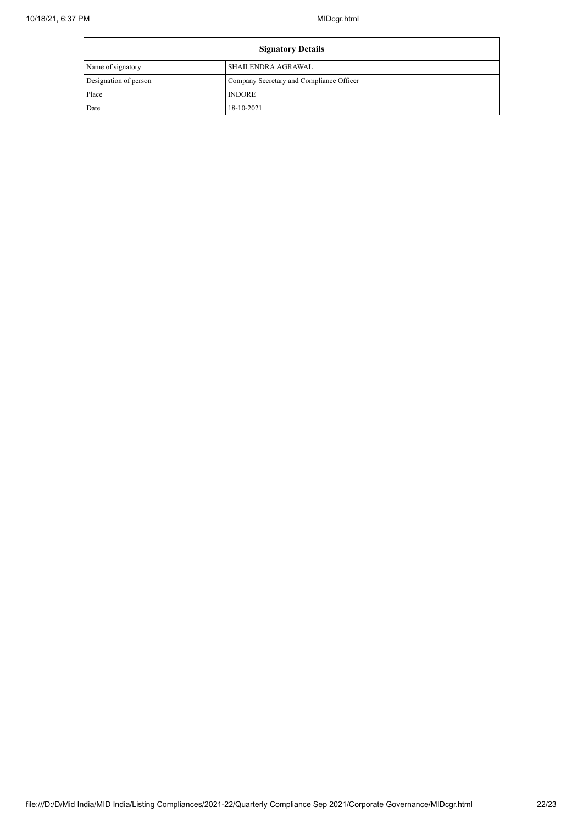| <b>Signatory Details</b> |                                          |
|--------------------------|------------------------------------------|
| Name of signatory        | SHAILENDRA AGRAWAL                       |
| Designation of person    | Company Secretary and Compliance Officer |
| Place                    | <b>INDORE</b>                            |
| Date                     | 18-10-2021                               |